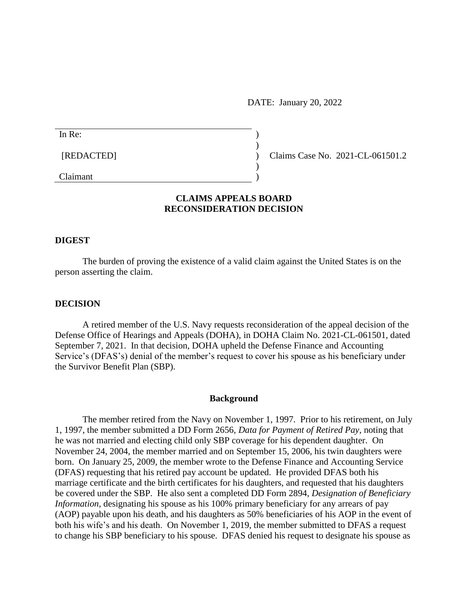DATE: January 20, 2022

| In Re:     |                                  |
|------------|----------------------------------|
|            |                                  |
| [REDACTED] | Claims Case No. 2021-CL-061501.2 |
|            |                                  |
| Claimant   |                                  |

# **CLAIMS APPEALS BOARD RECONSIDERATION DECISION**

#### **DIGEST**

The burden of proving the existence of a valid claim against the United States is on the person asserting the claim.

#### **DECISION**

A retired member of the U.S. Navy requests reconsideration of the appeal decision of the Defense Office of Hearings and Appeals (DOHA), in DOHA Claim No. 2021-CL-061501, dated September 7, 2021. In that decision, DOHA upheld the Defense Finance and Accounting Service's (DFAS's) denial of the member's request to cover his spouse as his beneficiary under the Survivor Benefit Plan (SBP).

#### **Background**

The member retired from the Navy on November 1, 1997. Prior to his retirement, on July 1, 1997, the member submitted a DD Form 2656, *Data for Payment of Retired Pay*, noting that he was not married and electing child only SBP coverage for his dependent daughter. On November 24, 2004, the member married and on September 15, 2006, his twin daughters were born. On January 25, 2009, the member wrote to the Defense Finance and Accounting Service (DFAS) requesting that his retired pay account be updated. He provided DFAS both his marriage certificate and the birth certificates for his daughters, and requested that his daughters be covered under the SBP. He also sent a completed DD Form 2894, *Designation of Beneficiary Information*, designating his spouse as his 100% primary beneficiary for any arrears of pay (AOP) payable upon his death, and his daughters as 50% beneficiaries of his AOP in the event of both his wife's and his death. On November 1, 2019, the member submitted to DFAS a request to change his SBP beneficiary to his spouse. DFAS denied his request to designate his spouse as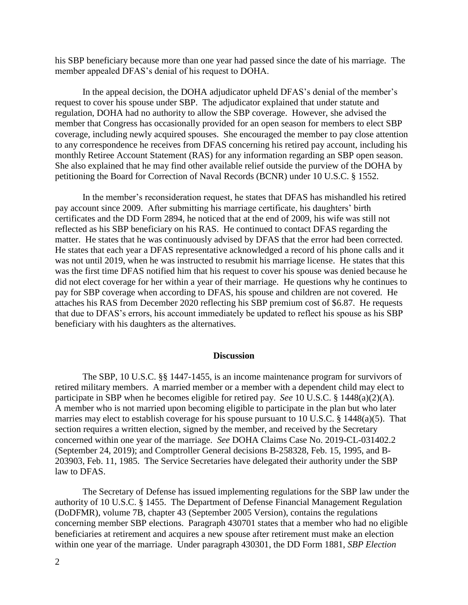his SBP beneficiary because more than one year had passed since the date of his marriage. The member appealed DFAS's denial of his request to DOHA.

In the appeal decision, the DOHA adjudicator upheld DFAS's denial of the member's request to cover his spouse under SBP. The adjudicator explained that under statute and regulation, DOHA had no authority to allow the SBP coverage. However, she advised the member that Congress has occasionally provided for an open season for members to elect SBP coverage, including newly acquired spouses. She encouraged the member to pay close attention to any correspondence he receives from DFAS concerning his retired pay account, including his monthly Retiree Account Statement (RAS) for any information regarding an SBP open season. She also explained that he may find other available relief outside the purview of the DOHA by petitioning the Board for Correction of Naval Records (BCNR) under 10 U.S.C. § 1552.

In the member's reconsideration request, he states that DFAS has mishandled his retired pay account since 2009. After submitting his marriage certificate, his daughters' birth certificates and the DD Form 2894, he noticed that at the end of 2009, his wife was still not reflected as his SBP beneficiary on his RAS. He continued to contact DFAS regarding the matter. He states that he was continuously advised by DFAS that the error had been corrected. He states that each year a DFAS representative acknowledged a record of his phone calls and it was not until 2019, when he was instructed to resubmit his marriage license. He states that this was the first time DFAS notified him that his request to cover his spouse was denied because he did not elect coverage for her within a year of their marriage. He questions why he continues to pay for SBP coverage when according to DFAS, his spouse and children are not covered. He attaches his RAS from December 2020 reflecting his SBP premium cost of \$6.87. He requests that due to DFAS's errors, his account immediately be updated to reflect his spouse as his SBP beneficiary with his daughters as the alternatives.

### **Discussion**

The SBP, 10 U.S.C. §§ 1447-1455, is an income maintenance program for survivors of retired military members. A married member or a member with a dependent child may elect to participate in SBP when he becomes eligible for retired pay. *See* 10 U.S.C. § 1448(a)(2)(A). A member who is not married upon becoming eligible to participate in the plan but who later marries may elect to establish coverage for his spouse pursuant to 10 U.S.C. § 1448(a)(5). That section requires a written election, signed by the member, and received by the Secretary concerned within one year of the marriage. *See* DOHA Claims Case No. 2019-CL-031402.2 (September 24, 2019); and Comptroller General decisions B-258328, Feb. 15, 1995, and B-203903, Feb. 11, 1985. The Service Secretaries have delegated their authority under the SBP law to DFAS.

The Secretary of Defense has issued implementing regulations for the SBP law under the authority of 10 U.S.C. § 1455. The Department of Defense Financial Management Regulation (DoDFMR), volume 7B, chapter 43 (September 2005 Version), contains the regulations concerning member SBP elections. Paragraph 430701 states that a member who had no eligible beneficiaries at retirement and acquires a new spouse after retirement must make an election within one year of the marriage. Under paragraph 430301, the DD Form 1881, *SBP Election*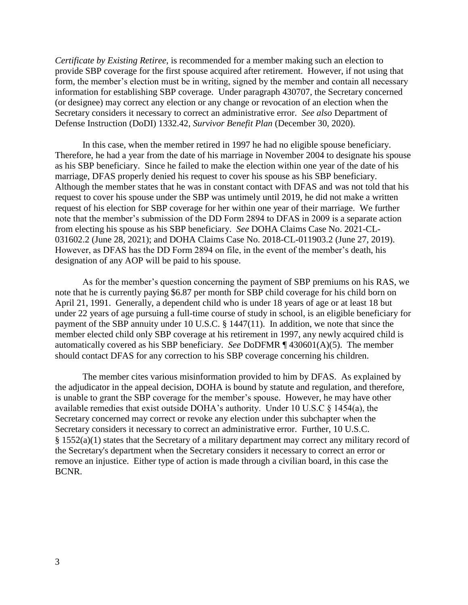*Certificate by Existing Retiree*, is recommended for a member making such an election to provide SBP coverage for the first spouse acquired after retirement. However, if not using that form, the member's election must be in writing, signed by the member and contain all necessary information for establishing SBP coverage. Under paragraph 430707, the Secretary concerned (or designee) may correct any election or any change or revocation of an election when the Secretary considers it necessary to correct an administrative error. *See also* Department of Defense Instruction (DoDI) 1332.42, *Survivor Benefit Plan* (December 30, 2020).

In this case, when the member retired in 1997 he had no eligible spouse beneficiary. Therefore, he had a year from the date of his marriage in November 2004 to designate his spouse as his SBP beneficiary. Since he failed to make the election within one year of the date of his marriage, DFAS properly denied his request to cover his spouse as his SBP beneficiary. Although the member states that he was in constant contact with DFAS and was not told that his request to cover his spouse under the SBP was untimely until 2019, he did not make a written request of his election for SBP coverage for her within one year of their marriage. We further note that the member's submission of the DD Form 2894 to DFAS in 2009 is a separate action from electing his spouse as his SBP beneficiary. *See* DOHA Claims Case No. 2021-CL-031602.2 (June 28, 2021); and DOHA Claims Case No. 2018-CL-011903.2 (June 27, 2019). However, as DFAS has the DD Form 2894 on file, in the event of the member's death, his designation of any AOP will be paid to his spouse.

As for the member's question concerning the payment of SBP premiums on his RAS, we note that he is currently paying \$6.87 per month for SBP child coverage for his child born on April 21, 1991. Generally, a dependent child who is under 18 years of age or at least 18 but under 22 years of age pursuing a full-time course of study in school, is an eligible beneficiary for payment of the SBP annuity under 10 U.S.C. § 1447(11). In addition, we note that since the member elected child only SBP coverage at his retirement in 1997, any newly acquired child is automatically covered as his SBP beneficiary. *See* DoDFMR ¶ 430601(A)(5). The member should contact DFAS for any correction to his SBP coverage concerning his children.

The member cites various misinformation provided to him by DFAS. As explained by the adjudicator in the appeal decision, DOHA is bound by statute and regulation, and therefore, is unable to grant the SBP coverage for the member's spouse. However, he may have other available remedies that exist outside DOHA's authority. Under 10 U.S.C § 1454(a), the Secretary concerned may correct or revoke any election under this subchapter when the Secretary considers it necessary to correct an administrative error. Further, 10 U.S.C. § 1552(a)(1) states that the Secretary of a military department may correct any military record of the Secretary's department when the Secretary considers it necessary to correct an error or remove an injustice. Either type of action is made through a civilian board, in this case the BCNR.